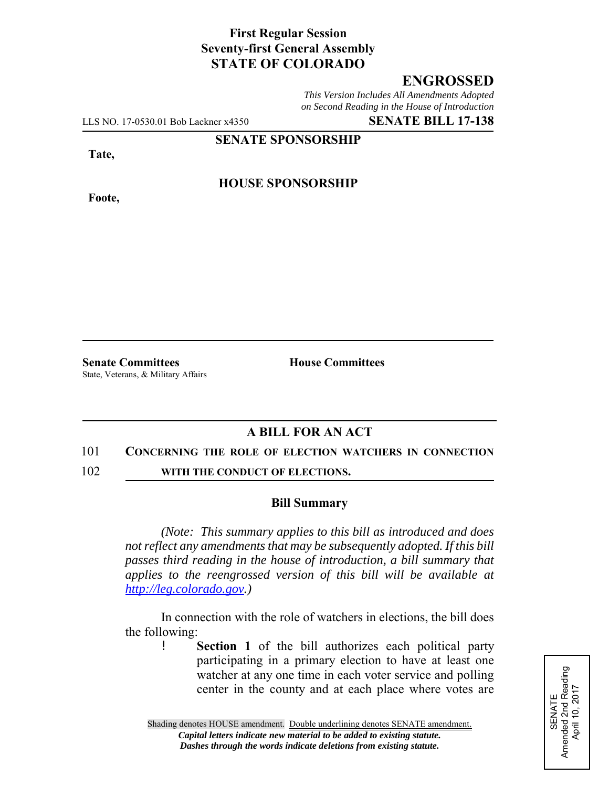## **First Regular Session Seventy-first General Assembly STATE OF COLORADO**

## **ENGROSSED**

*This Version Includes All Amendments Adopted on Second Reading in the House of Introduction*

LLS NO. 17-0530.01 Bob Lackner x4350 **SENATE BILL 17-138**

**SENATE SPONSORSHIP**

**Tate,**

**HOUSE SPONSORSHIP**

**Foote,**

**Senate Committees House Committees** State, Veterans, & Military Affairs

# **A BILL FOR AN ACT**

#### 101 **CONCERNING THE ROLE OF ELECTION WATCHERS IN CONNECTION**

102 **WITH THE CONDUCT OF ELECTIONS.** 

### **Bill Summary**

*(Note: This summary applies to this bill as introduced and does not reflect any amendments that may be subsequently adopted. If this bill passes third reading in the house of introduction, a bill summary that applies to the reengrossed version of this bill will be available at http://leg.colorado.gov.)*

In connection with the role of watchers in elections, the bill does the following:

> ! **Section 1** of the bill authorizes each political party participating in a primary election to have at least one watcher at any one time in each voter service and polling center in the county and at each place where votes are

SENATE<br>Amended 2nd Reading<br>April 10, 2017 Amended 2nd Reading April 10, 2017

Shading denotes HOUSE amendment. Double underlining denotes SENATE amendment. *Capital letters indicate new material to be added to existing statute. Dashes through the words indicate deletions from existing statute.*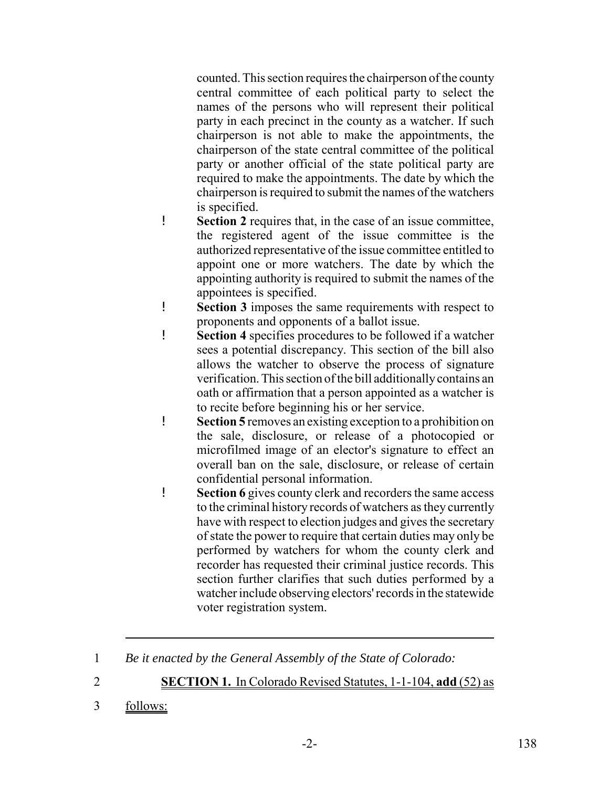counted. This section requires the chairperson of the county central committee of each political party to select the names of the persons who will represent their political party in each precinct in the county as a watcher. If such chairperson is not able to make the appointments, the chairperson of the state central committee of the political party or another official of the state political party are required to make the appointments. The date by which the chairperson is required to submit the names of the watchers is specified.

- ! **Section 2** requires that, in the case of an issue committee, the registered agent of the issue committee is the authorized representative of the issue committee entitled to appoint one or more watchers. The date by which the appointing authority is required to submit the names of the appointees is specified.
- ! **Section 3** imposes the same requirements with respect to proponents and opponents of a ballot issue.
- ! **Section 4** specifies procedures to be followed if a watcher sees a potential discrepancy. This section of the bill also allows the watcher to observe the process of signature verification. This section of the bill additionally contains an oath or affirmation that a person appointed as a watcher is to recite before beginning his or her service.
- ! **Section 5** removes an existing exception to a prohibition on the sale, disclosure, or release of a photocopied or microfilmed image of an elector's signature to effect an overall ban on the sale, disclosure, or release of certain confidential personal information.
- ! **Section 6** gives county clerk and recorders the same access to the criminal history records of watchers as they currently have with respect to election judges and gives the secretary of state the power to require that certain duties may only be performed by watchers for whom the county clerk and recorder has requested their criminal justice records. This section further clarifies that such duties performed by a watcher include observing electors' records in the statewide voter registration system.
- 1 *Be it enacted by the General Assembly of the State of Colorado:*
- 2 **SECTION 1.** In Colorado Revised Statutes, 1-1-104, **add** (52) as
- 3 follows: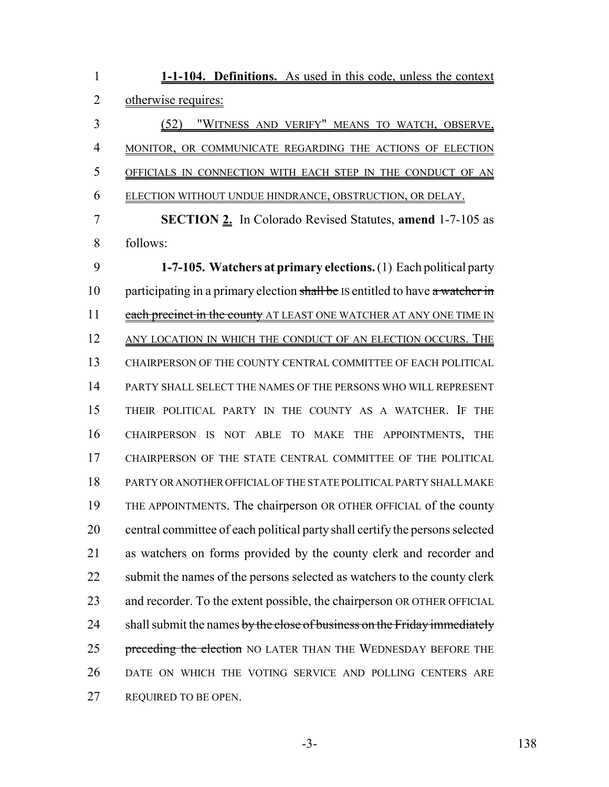| 1              | 1-1-104. Definitions. As used in this code, unless the context                |
|----------------|-------------------------------------------------------------------------------|
| $\overline{2}$ | otherwise requires:                                                           |
| 3              | (52) "WITNESS AND VERIFY" MEANS TO WATCH, OBSERVE,                            |
| $\overline{4}$ | MONITOR, OR COMMUNICATE REGARDING THE ACTIONS OF ELECTION                     |
| 5              | OFFICIALS IN CONNECTION WITH EACH STEP IN THE CONDUCT OF AN                   |
| 6              | ELECTION WITHOUT UNDUE HINDRANCE, OBSTRUCTION, OR DELAY.                      |
| 7              | <b>SECTION 2.</b> In Colorado Revised Statutes, amend 1-7-105 as              |
| 8              | follows:                                                                      |
| 9              | 1-7-105. Watchers at primary elections. (1) Each political party              |
| 10             | participating in a primary election shall be IS entitled to have a watcher in |
| 11             | each precinct in the county AT LEAST ONE WATCHER AT ANY ONE TIME IN           |
| 12             | ANY LOCATION IN WHICH THE CONDUCT OF AN ELECTION OCCURS. THE                  |
| 13             | CHAIRPERSON OF THE COUNTY CENTRAL COMMITTEE OF EACH POLITICAL                 |
| 14             | PARTY SHALL SELECT THE NAMES OF THE PERSONS WHO WILL REPRESENT                |
| 15             | THEIR POLITICAL PARTY IN THE COUNTY AS A WATCHER. IF<br><b>THE</b>            |
| 16             | CHAIRPERSON IS NOT ABLE TO MAKE THE APPOINTMENTS, THE                         |
| 17             | CHAIRPERSON OF THE STATE CENTRAL COMMITTEE OF THE POLITICAL                   |
| 18             | PARTY OR ANOTHER OFFICIAL OF THE STATE POLITICAL PARTY SHALL MAKE             |
| 19             | THE APPOINTMENTS. The chairperson OR OTHER OFFICIAL of the county             |
| 20             | central committee of each political party shall certify the persons selected  |
| 21             | as watchers on forms provided by the county clerk and recorder and            |
| 22             | submit the names of the persons selected as watchers to the county clerk      |
| 23             | and recorder. To the extent possible, the chairperson OR OTHER OFFICIAL       |
| 24             | shall submit the names by the close of business on the Friday immediately     |
| 25             | preceding the election NO LATER THAN THE WEDNESDAY BEFORE THE                 |
| 26             | DATE ON WHICH THE VOTING SERVICE AND POLLING CENTERS ARE                      |
| 27             | REQUIRED TO BE OPEN.                                                          |

-3- 138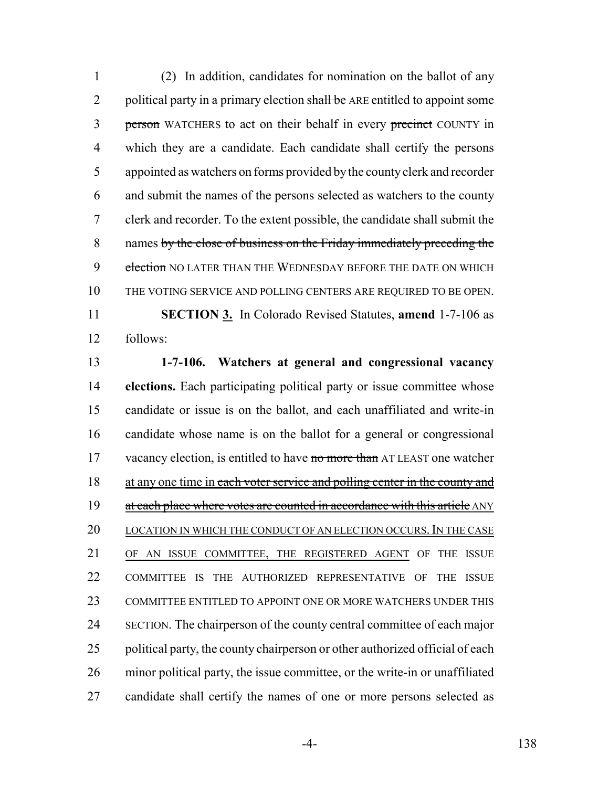(2) In addition, candidates for nomination on the ballot of any 2 political party in a primary election shall be ARE entitled to appoint some 3 person WATCHERS to act on their behalf in every precinct COUNTY in which they are a candidate. Each candidate shall certify the persons appointed as watchers on forms provided by the county clerk and recorder and submit the names of the persons selected as watchers to the county clerk and recorder. To the extent possible, the candidate shall submit the 8 names by the close of business on the Friday immediately preceding the 9 election NO LATER THAN THE WEDNESDAY BEFORE THE DATE ON WHICH THE VOTING SERVICE AND POLLING CENTERS ARE REQUIRED TO BE OPEN. **SECTION 3.** In Colorado Revised Statutes, **amend** 1-7-106 as

follows:

 **1-7-106. Watchers at general and congressional vacancy elections.** Each participating political party or issue committee whose candidate or issue is on the ballot, and each unaffiliated and write-in candidate whose name is on the ballot for a general or congressional 17 vacancy election, is entitled to have no more than AT LEAST one watcher 18 at any one time in each voter service and polling center in the county and 19 at each place where votes are counted in accordance with this article ANY 20 LOCATION IN WHICH THE CONDUCT OF AN ELECTION OCCURS. IN THE CASE OF AN ISSUE COMMITTEE, THE REGISTERED AGENT OF THE ISSUE COMMITTEE IS THE AUTHORIZED REPRESENTATIVE OF THE ISSUE COMMITTEE ENTITLED TO APPOINT ONE OR MORE WATCHERS UNDER THIS SECTION. The chairperson of the county central committee of each major 25 political party, the county chairperson or other authorized official of each minor political party, the issue committee, or the write-in or unaffiliated candidate shall certify the names of one or more persons selected as

-4- 138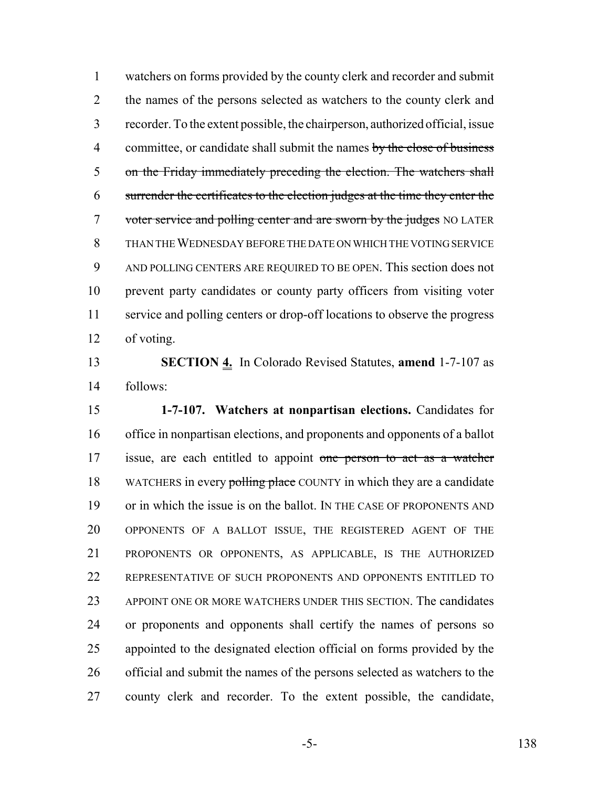watchers on forms provided by the county clerk and recorder and submit the names of the persons selected as watchers to the county clerk and recorder. To the extent possible, the chairperson, authorized official, issue 4 committee, or candidate shall submit the names by the close of business on the Friday immediately preceding the election. The watchers shall surrender the certificates to the election judges at the time they enter the 7 voter service and polling center and are sworn by the judges NO LATER THAN THE WEDNESDAY BEFORE THE DATE ON WHICH THE VOTING SERVICE AND POLLING CENTERS ARE REQUIRED TO BE OPEN. This section does not prevent party candidates or county party officers from visiting voter service and polling centers or drop-off locations to observe the progress of voting.

 **SECTION 4.** In Colorado Revised Statutes, **amend** 1-7-107 as follows:

 **1-7-107. Watchers at nonpartisan elections.** Candidates for office in nonpartisan elections, and proponents and opponents of a ballot 17 issue, are each entitled to appoint one person to act as a watcher 18 WATCHERS in every polling place COUNTY in which they are a candidate or in which the issue is on the ballot. IN THE CASE OF PROPONENTS AND OPPONENTS OF A BALLOT ISSUE, THE REGISTERED AGENT OF THE PROPONENTS OR OPPONENTS, AS APPLICABLE, IS THE AUTHORIZED REPRESENTATIVE OF SUCH PROPONENTS AND OPPONENTS ENTITLED TO APPOINT ONE OR MORE WATCHERS UNDER THIS SECTION. The candidates or proponents and opponents shall certify the names of persons so appointed to the designated election official on forms provided by the official and submit the names of the persons selected as watchers to the county clerk and recorder. To the extent possible, the candidate,

-5- 138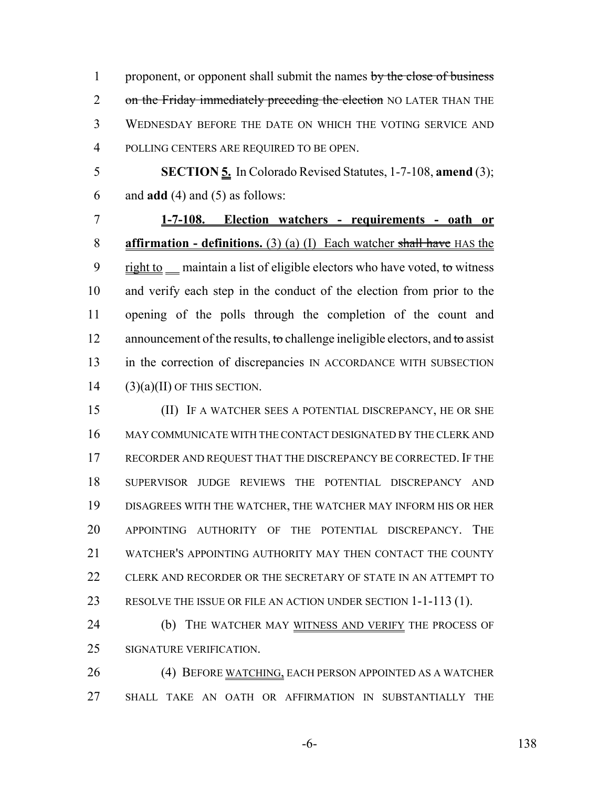1 proponent, or opponent shall submit the names by the close of business 2 on the Friday immediately preceding the election NO LATER THAN THE WEDNESDAY BEFORE THE DATE ON WHICH THE VOTING SERVICE AND POLLING CENTERS ARE REQUIRED TO BE OPEN.

 **SECTION 5.** In Colorado Revised Statutes, 1-7-108, **amend** (3); and **add** (4) and (5) as follows:

 **1-7-108. Election watchers - requirements - oath or affirmation - definitions.** (3) (a) (I) Each watcher shall have HAS the 9 right to maintain a list of eligible electors who have voted, to witness and verify each step in the conduct of the election from prior to the opening of the polls through the completion of the count and 12 announcement of the results, to challenge ineligible electors, and to assist in the correction of discrepancies IN ACCORDANCE WITH SUBSECTION (3)(a)(II) OF THIS SECTION.

 (II) IF A WATCHER SEES A POTENTIAL DISCREPANCY, HE OR SHE MAY COMMUNICATE WITH THE CONTACT DESIGNATED BY THE CLERK AND RECORDER AND REQUEST THAT THE DISCREPANCY BE CORRECTED. IF THE SUPERVISOR JUDGE REVIEWS THE POTENTIAL DISCREPANCY AND DISAGREES WITH THE WATCHER, THE WATCHER MAY INFORM HIS OR HER APPOINTING AUTHORITY OF THE POTENTIAL DISCREPANCY. THE WATCHER'S APPOINTING AUTHORITY MAY THEN CONTACT THE COUNTY 22 CLERK AND RECORDER OR THE SECRETARY OF STATE IN AN ATTEMPT TO RESOLVE THE ISSUE OR FILE AN ACTION UNDER SECTION 1-1-113 (1).

24 (b) THE WATCHER MAY WITNESS AND VERIFY THE PROCESS OF SIGNATURE VERIFICATION.

26 (4) BEFORE WATCHING, EACH PERSON APPOINTED AS A WATCHER SHALL TAKE AN OATH OR AFFIRMATION IN SUBSTANTIALLY THE

-6- 138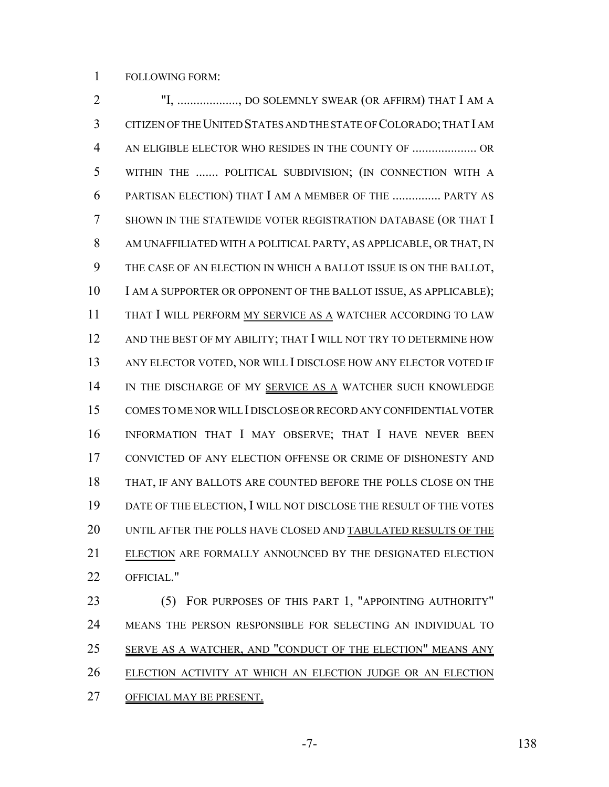FOLLOWING FORM:

 "I, ..................., DO SOLEMNLY SWEAR (OR AFFIRM) THAT I AM A CITIZEN OF THE UNITED STATES AND THE STATE OF COLORADO; THAT I AM AN ELIGIBLE ELECTOR WHO RESIDES IN THE COUNTY OF .................... OR WITHIN THE ....... POLITICAL SUBDIVISION; (IN CONNECTION WITH A PARTISAN ELECTION) THAT I AM A MEMBER OF THE ............... PARTY AS SHOWN IN THE STATEWIDE VOTER REGISTRATION DATABASE (OR THAT I AM UNAFFILIATED WITH A POLITICAL PARTY, AS APPLICABLE, OR THAT, IN THE CASE OF AN ELECTION IN WHICH A BALLOT ISSUE IS ON THE BALLOT, 10 I AM A SUPPORTER OR OPPONENT OF THE BALLOT ISSUE, AS APPLICABLE); THAT I WILL PERFORM MY SERVICE AS A WATCHER ACCORDING TO LAW 12 AND THE BEST OF MY ABILITY; THAT I WILL NOT TRY TO DETERMINE HOW ANY ELECTOR VOTED, NOR WILL I DISCLOSE HOW ANY ELECTOR VOTED IF 14 IN THE DISCHARGE OF MY SERVICE AS A WATCHER SUCH KNOWLEDGE COMES TO ME NOR WILL I DISCLOSE OR RECORD ANY CONFIDENTIAL VOTER INFORMATION THAT I MAY OBSERVE; THAT I HAVE NEVER BEEN CONVICTED OF ANY ELECTION OFFENSE OR CRIME OF DISHONESTY AND THAT, IF ANY BALLOTS ARE COUNTED BEFORE THE POLLS CLOSE ON THE DATE OF THE ELECTION, I WILL NOT DISCLOSE THE RESULT OF THE VOTES UNTIL AFTER THE POLLS HAVE CLOSED AND TABULATED RESULTS OF THE ELECTION ARE FORMALLY ANNOUNCED BY THE DESIGNATED ELECTION OFFICIAL."

23 (5) FOR PURPOSES OF THIS PART 1, "APPOINTING AUTHORITY" MEANS THE PERSON RESPONSIBLE FOR SELECTING AN INDIVIDUAL TO 25 SERVE AS A WATCHER, AND "CONDUCT OF THE ELECTION" MEANS ANY ELECTION ACTIVITY AT WHICH AN ELECTION JUDGE OR AN ELECTION OFFICIAL MAY BE PRESENT.

-7- 138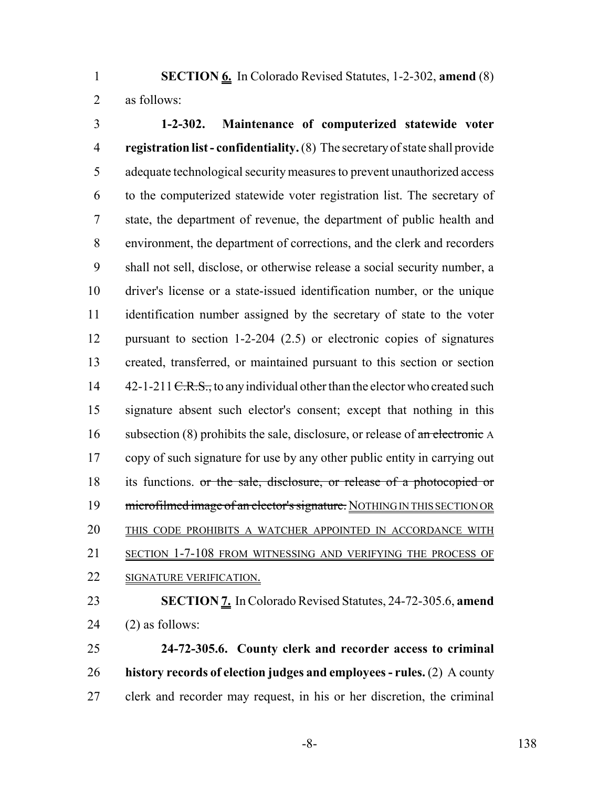**SECTION 6.** In Colorado Revised Statutes, 1-2-302, **amend** (8) as follows:

 **1-2-302. Maintenance of computerized statewide voter registration list - confidentiality.** (8) The secretary of state shall provide adequate technological security measures to prevent unauthorized access to the computerized statewide voter registration list. The secretary of state, the department of revenue, the department of public health and environment, the department of corrections, and the clerk and recorders shall not sell, disclose, or otherwise release a social security number, a driver's license or a state-issued identification number, or the unique identification number assigned by the secretary of state to the voter pursuant to section 1-2-204 (2.5) or electronic copies of signatures created, transferred, or maintained pursuant to this section or section 14 42-1-211 <del>C.R.S.,</del> to any individual other than the elector who created such signature absent such elector's consent; except that nothing in this 16 subsection (8) prohibits the sale, disclosure, or release of an electronic A copy of such signature for use by any other public entity in carrying out 18 its functions. or the sale, disclosure, or release of a photocopied or 19 microfilmed image of an elector's signature. NOTHING IN THIS SECTION OR THIS CODE PROHIBITS A WATCHER APPOINTED IN ACCORDANCE WITH SECTION 1-7-108 FROM WITNESSING AND VERIFYING THE PROCESS OF 22 SIGNATURE VERIFICATION. **SECTION 7.** In Colorado Revised Statutes, 24-72-305.6, **amend** (2) as follows:

 **24-72-305.6. County clerk and recorder access to criminal history records of election judges and employees - rules.** (2) A county clerk and recorder may request, in his or her discretion, the criminal